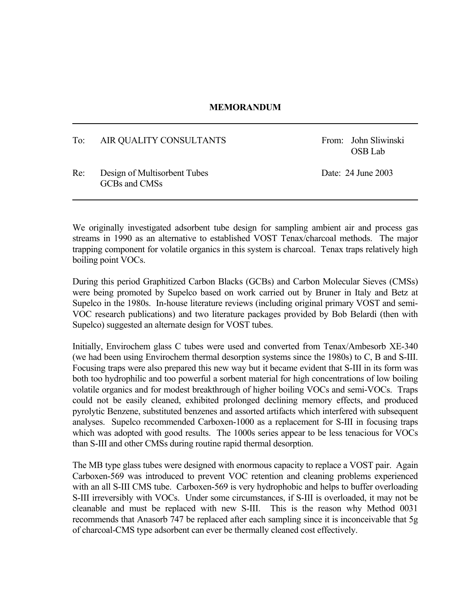## **MEMORANDUM**

## To: AIR QUALITY CONSULTANTS From: John Sliwinski

OSB Lab

Re: Design of Multisorbent Tubes Date: 24 June 2003 GCBs and CMSs

We originally investigated adsorbent tube design for sampling ambient air and process gas streams in 1990 as an alternative to established VOST Tenax/charcoal methods. The major trapping component for volatile organics in this system is charcoal. Tenax traps relatively high boiling point VOCs.

During this period Graphitized Carbon Blacks (GCBs) and Carbon Molecular Sieves (CMSs) were being promoted by Supelco based on work carried out by Bruner in Italy and Betz at Supelco in the 1980s. In-house literature reviews (including original primary VOST and semi-VOC research publications) and two literature packages provided by Bob Belardi (then with Supelco) suggested an alternate design for VOST tubes.

Initially, Envirochem glass C tubes were used and converted from Tenax/Ambesorb XE-340 (we had been using Envirochem thermal desorption systems since the 1980s) to C, B and S-III. Focusing traps were also prepared this new way but it became evident that S-III in its form was both too hydrophilic and too powerful a sorbent material for high concentrations of low boiling volatile organics and for modest breakthrough of higher boiling VOCs and semi-VOCs. Traps could not be easily cleaned, exhibited prolonged declining memory effects, and produced pyrolytic Benzene, substituted benzenes and assorted artifacts which interfered with subsequent analyses. Supelco recommended Carboxen-1000 as a replacement for S-III in focusing traps which was adopted with good results. The 1000s series appear to be less tenacious for VOCs than S-III and other CMSs during routine rapid thermal desorption.

The MB type glass tubes were designed with enormous capacity to replace a VOST pair. Again Carboxen-569 was introduced to prevent VOC retention and cleaning problems experienced with an all S-III CMS tube. Carboxen-569 is very hydrophobic and helps to buffer overloading S-III irreversibly with VOCs. Under some circumstances, if S-III is overloaded, it may not be cleanable and must be replaced with new S-III. This is the reason why Method 0031 recommends that Anasorb 747 be replaced after each sampling since it is inconceivable that 5g of charcoal-CMS type adsorbent can ever be thermally cleaned cost effectively.